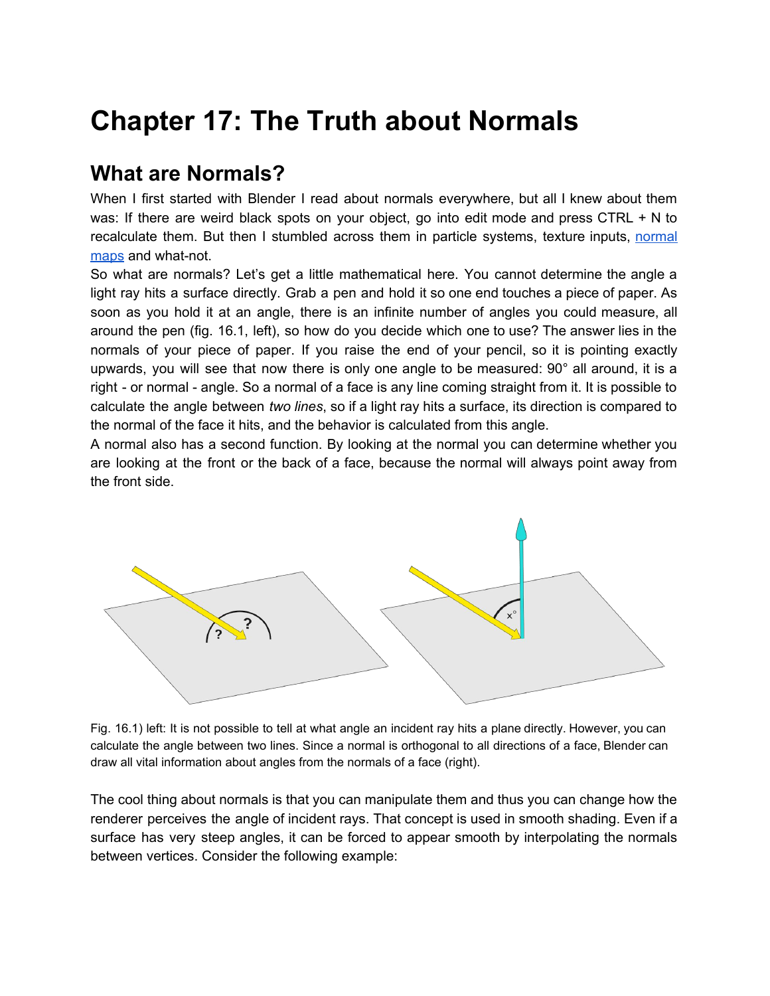## **Chapter 17: The Truth about Normals**

## **What are Normals?**

When I first started with Blender I read about normals everywhere, but all I knew about them was: If there are weird black spots on your object, go into edit mode and press CTRL + N to recalculate them. But then I stumbled across them in particle systems, texture inputs, normal maps and what-not.

So what are normals? Let's get a little mathematical here. You cannot determine the angle a light ray hits a surface directly. Grab a pen and hold it so one end touches a piece of paper. As soon as you hold it at an angle, there is an infinite number of angles you could measure, all around the pen (fig. 16.1, left), so how do you decide which one to use? The answer lies in the normals of your piece of paper. If you raise the end of your pencil, so it is pointing exactly upwards, you will see that now there is only one angle to be measured: 90° all around, it is a right - or normal - angle. So a normal of a face is any line coming straight from it. It is possible to calculate the angle between *two lines*, so if a light ray hits a surface, its direction is compared to the normal of the face it hits, and the behavior is calculated from this angle.

A normal also has a second function. By looking at the normal you can determine whether you are looking at the front or the back of a face, because the normal will always point away from the front side.



Fig. 16.1) left: It is not possible to tell at what angle an incident ray hits a plane directly. However, you can calculate the angle between two lines. Since a normal is orthogonal to all directions of a face, Blender can draw all vital information about angles from the normals of a face (right).

The cool thing about normals is that you can manipulate them and thus you can change how the renderer perceives the angle of incident rays. That concept is used in smooth shading. Even if a surface has very steep angles, it can be forced to appear smooth by interpolating the normals between vertices. Consider the following example: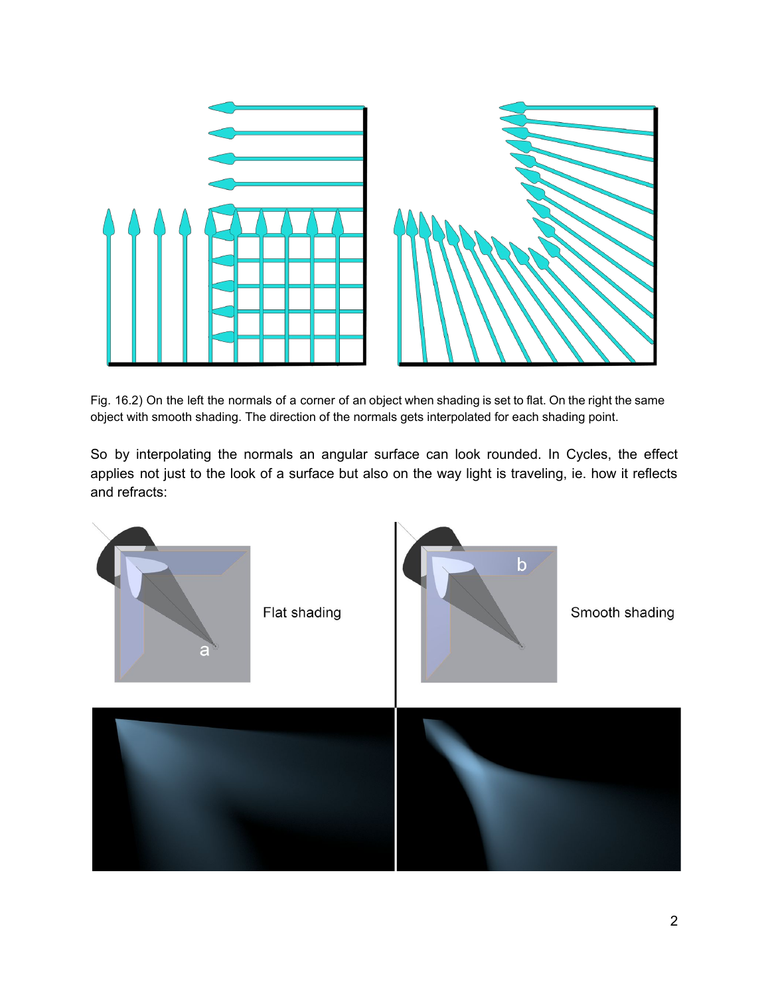

Fig. 16.2) On the left the normals of a corner of an object when shading is set to flat. On the right the same object with smooth shading. The direction of the normals gets interpolated for each shading point.

So by interpolating the normals an angular surface can look rounded. In Cycles, the effect applies not just to the look of a surface but also on the way light is traveling, ie. how it reflects and refracts:

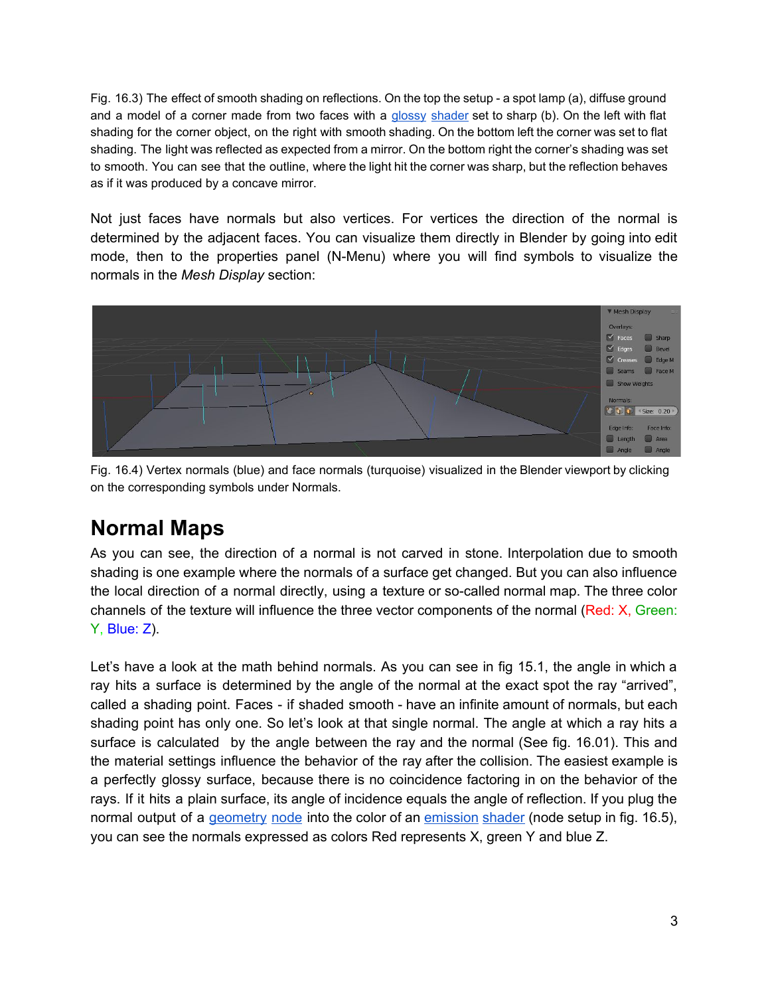Fig. 16.3) The effect of smooth shading on reflections. On the top the setup - a spot lamp (a), diffuse ground and a model of a corner made from two faces with a glossy shader set to sharp (b). On the left with flat shading for the corner object, on the right with smooth shading. On the bottom left the corner was set to flat shading. The light was reflected as expected from a mirror. On the bottom right the corner's shading was set to smooth. You can see that the outline, where the light hit the corner was sharp, but the reflection behaves as if it was produced by a concave mirror.

Not just faces have normals but also vertices. For vertices the direction of the normal is determined by the adjacent faces. You can visualize them directly in Blender by going into edit mode, then to the properties panel (N-Menu) where you will find symbols to visualize the normals in the *Mesh Display* section:



Fig. 16.4) Vertex normals (blue) and face normals (turquoise) visualized in the Blender viewport by clicking on the corresponding symbols under Normals.

## **Normal Maps**

As you can see, the direction of a normal is not carved in stone. Interpolation due to smooth shading is one example where the normals of a surface get changed. But you can also influence the local direction of a normal directly, using a texture or so-called normal map. The three color channels of the texture will influence the three vector components of the normal (Red: X, Green: Y, Blue: Z).

Let's have a look at the math behind normals. As you can see in fig 15.1, the angle in which a ray hits a surface is determined by the angle of the normal at the exact spot the ray "arrived", called a shading point. Faces - if shaded smooth - have an infinite amount of normals, but each shading point has only one. So let's look at that single normal. The angle at which a ray hits a surface is calculated by the angle between the ray and the normal (See fig. 16.01). This and the material settings influence the behavior of the ray after the collision. The easiest example is a perfectly glossy surface, because there is no coincidence factoring in on the behavior of the rays. If it hits a plain surface, its angle of incidence equals the angle of reflection. If you plug the normal output of a geometry node into the color of an emission shader (node setup in fig. 16.5), you can see the normals expressed as colors Red represents X, green Y and blue Z.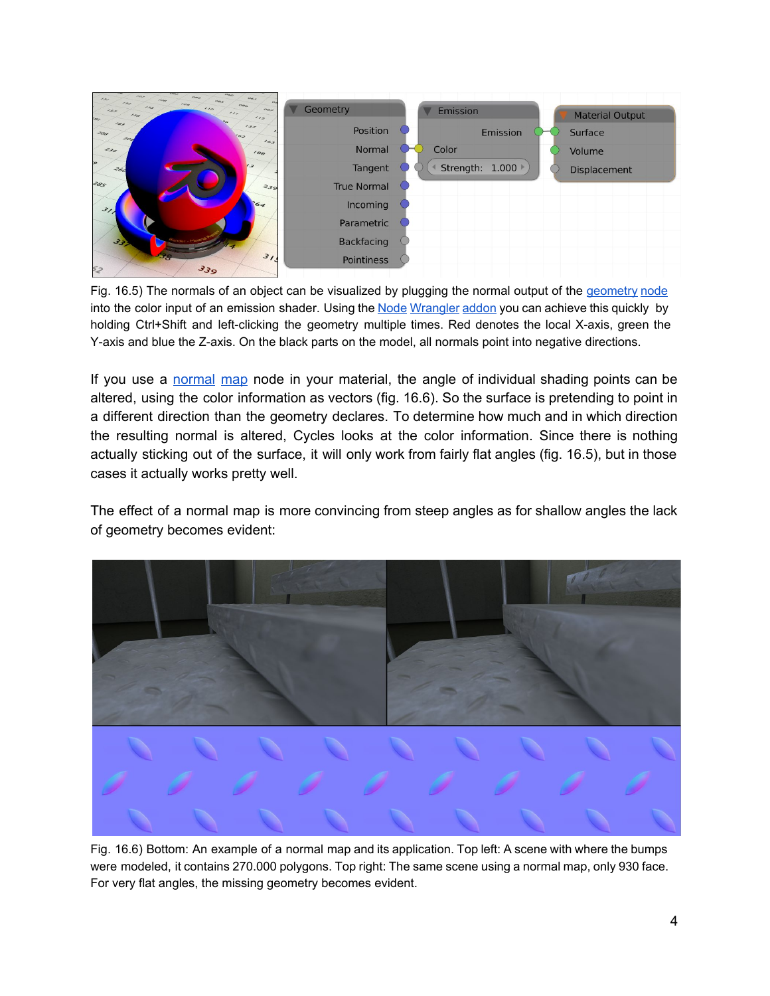

Fig. 16.5) The normals of an object can be visualized by plugging the normal output of the geometry node into the color input of an emission shader. Using the Node Wrangler addon you can achieve this quickly by holding Ctrl+Shift and left-clicking the geometry multiple times. Red denotes the local X-axis, green the Y-axis and blue the Z-axis. On the black parts on the model, all normals point into negative directions.

If you use a normal map node in your material, the angle of individual shading points can be altered, using the color information as vectors (fig. 16.6). So the surface is pretending to point in a different direction than the geometry declares. To determine how much and in which direction the resulting normal is altered, Cycles looks at the color information. Since there is nothing actually sticking out of the surface, it will only work from fairly flat angles (fig. 16.5), but in those cases it actually works pretty well.

The effect of a normal map is more convincing from steep angles as for shallow angles the lack of geometry becomes evident:



Fig. 16.6) Bottom: An example of a normal map and its application. Top left: A scene with where the bumps were modeled, it contains 270.000 polygons. Top right: The same scene using a normal map, only 930 face. For very flat angles, the missing geometry becomes evident.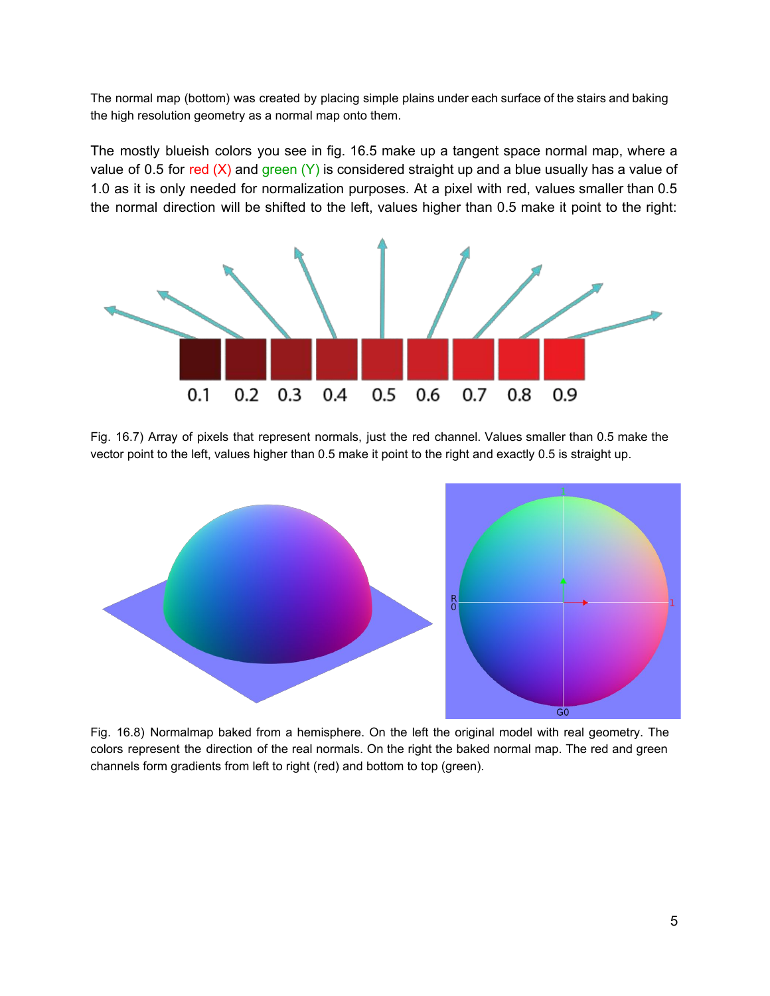The normal map (bottom) was created by placing simple plains under each surface of the stairs and baking the high resolution geometry as a normal map onto them.

The mostly blueish colors you see in fig. 16.5 make up a tangent space normal map, where a value of 0.5 for red  $(X)$  and green  $(Y)$  is considered straight up and a blue usually has a value of 1.0 as it is only needed for normalization purposes. At a pixel with red, values smaller than 0.5 the normal direction will be shifted to the left, values higher than 0.5 make it point to the right:



Fig. 16.7) Array of pixels that represent normals, just the red channel. Values smaller than 0.5 make the vector point to the left, values higher than 0.5 make it point to the right and exactly 0.5 is straight up.



Fig. 16.8) Normalmap baked from a hemisphere. On the left the original model with real geometry. The colors represent the direction of the real normals. On the right the baked normal map. The red and green channels form gradients from left to right (red) and bottom to top (green).